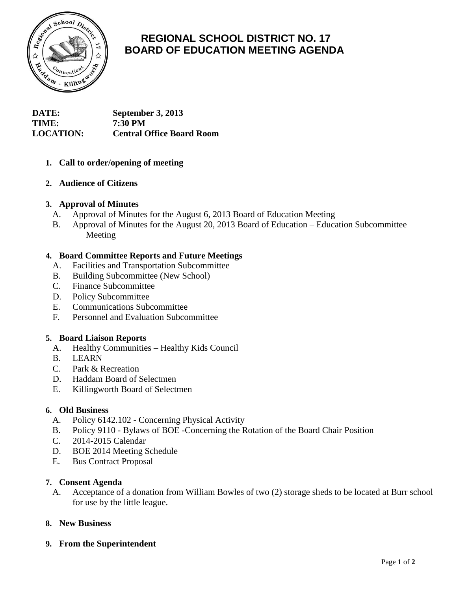

# **REGIONAL SCHOOL DISTRICT NO. 17 BOARD OF EDUCATION MEETING AGENDA**

**DATE: September 3, 2013 TIME: 7:30 PM LOCATION: Central Office Board Room**

## **1. Call to order/opening of meeting**

## **2. Audience of Citizens**

### **3. Approval of Minutes**

- A. Approval of Minutes for the August 6, 2013 Board of Education Meeting
- B. Approval of Minutes for the August 20, 2013 Board of Education Education Subcommittee Meeting

### **4. Board Committee Reports and Future Meetings**

- A. Facilities and Transportation Subcommittee
- B. Building Subcommittee (New School)
- C. Finance Subcommittee
- D. Policy Subcommittee
- E. Communications Subcommittee
- F. Personnel and Evaluation Subcommittee

#### **5. Board Liaison Reports**

- A. Healthy Communities Healthy Kids Council
- B. LEARN
- C. Park & Recreation
- D. Haddam Board of Selectmen
- E. Killingworth Board of Selectmen

#### **6. Old Business**

- A. Policy 6142.102 Concerning Physical Activity
- B. Policy 9110 Bylaws of BOE -Concerning the Rotation of the Board Chair Position
- C. 2014-2015 Calendar
- D. BOE 2014 Meeting Schedule
- E. Bus Contract Proposal

#### **7. Consent Agenda**

A. Acceptance of a donation from William Bowles of two (2) storage sheds to be located at Burr school for use by the little league.

## **8. New Business**

**9. From the Superintendent**